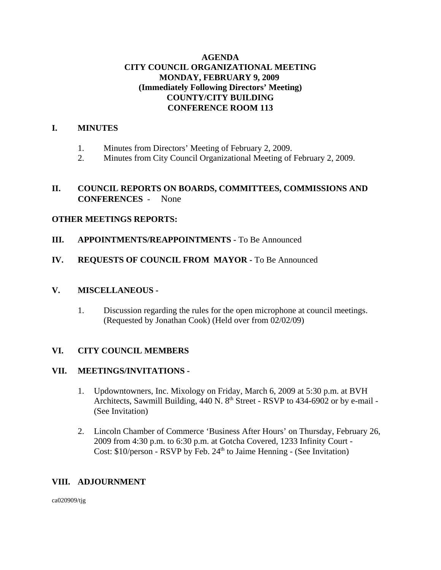# **AGENDA CITY COUNCIL ORGANIZATIONAL MEETING MONDAY, FEBRUARY 9, 2009 (Immediately Following Directors' Meeting) COUNTY/CITY BUILDING CONFERENCE ROOM 113**

# **I. MINUTES**

- 1. Minutes from Directors' Meeting of February 2, 2009.
- 2. Minutes from City Council Organizational Meeting of February 2, 2009.

# **II. COUNCIL REPORTS ON BOARDS, COMMITTEES, COMMISSIONS AND CONFERENCES** - None

# **OTHER MEETINGS REPORTS:**

- **III.** APPOINTMENTS/REAPPOINTMENTS To Be Announced
- **IV. REQUESTS OF COUNCIL FROM MAYOR -** To Be Announced

#### **V. MISCELLANEOUS -**

1. Discussion regarding the rules for the open microphone at council meetings. (Requested by Jonathan Cook) (Held over from 02/02/09)

# **VI. CITY COUNCIL MEMBERS**

#### **VII. MEETINGS/INVITATIONS -**

- 1. Updowntowners, Inc. Mixology on Friday, March 6, 2009 at 5:30 p.m. at BVH Architects, Sawmill Building,  $440$  N.  $8<sup>th</sup>$  Street - RSVP to  $434-6902$  or by e-mail -(See Invitation)
- 2. Lincoln Chamber of Commerce 'Business After Hours' on Thursday, February 26, 2009 from 4:30 p.m. to 6:30 p.m. at Gotcha Covered, 1233 Infinity Court - Cost:  $$10/person - RSVP$  by Feb.  $24<sup>th</sup>$  to Jaime Henning - (See Invitation)

# **VIII. ADJOURNMENT**

ca020909/tjg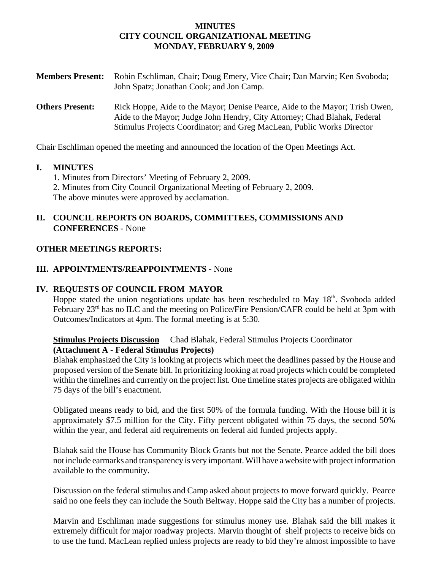#### **MINUTES CITY COUNCIL ORGANIZATIONAL MEETING MONDAY, FEBRUARY 9, 2009**

| <b>Members Present:</b> | Robin Eschliman, Chair; Doug Emery, Vice Chair; Dan Marvin; Ken Svoboda;<br>John Spatz; Jonathan Cook; and Jon Camp.                                                                                                                |
|-------------------------|-------------------------------------------------------------------------------------------------------------------------------------------------------------------------------------------------------------------------------------|
| <b>Others Present:</b>  | Rick Hoppe, Aide to the Mayor; Denise Pearce, Aide to the Mayor; Trish Owen,<br>Aide to the Mayor; Judge John Hendry, City Attorney; Chad Blahak, Federal<br>Stimulus Projects Coordinator; and Greg MacLean, Public Works Director |

Chair Eschliman opened the meeting and announced the location of the Open Meetings Act.

#### **I. MINUTES**

1. Minutes from Directors' Meeting of February 2, 2009.

2. Minutes from City Council Organizational Meeting of February 2, 2009.

The above minutes were approved by acclamation.

# **II. COUNCIL REPORTS ON BOARDS, COMMITTEES, COMMISSIONS AND CONFERENCES** - None

### **OTHER MEETINGS REPORTS:**

### **III. APPOINTMENTS/REAPPOINTMENTS -** None

#### **IV. REQUESTS OF COUNCIL FROM MAYOR**

Hoppe stated the union negotiations update has been rescheduled to May  $18<sup>th</sup>$ . Svoboda added February 23<sup>rd</sup> has no ILC and the meeting on Police/Fire Pension/CAFR could be held at 3pm with Outcomes/Indicators at 4pm. The formal meeting is at 5:30.

### **Stimulus Projects Discussion** Chad Blahak, Federal Stimulus Projects Coordinator **(Attachment A - Federal Stimulus Projects)**

Blahak emphasized the City is looking at projects which meet the deadlines passed by the House and proposed version of the Senate bill. In prioritizing looking at road projects which could be completed within the timelines and currently on the project list. One timeline states projects are obligated within 75 days of the bill's enactment.

Obligated means ready to bid, and the first 50% of the formula funding. With the House bill it is approximately \$7.5 million for the City. Fifty percent obligated within 75 days, the second 50% within the year, and federal aid requirements on federal aid funded projects apply.

Blahak said the House has Community Block Grants but not the Senate. Pearce added the bill does not include earmarks and transparency is very important. Will have a website with project information available to the community.

Discussion on the federal stimulus and Camp asked about projects to move forward quickly. Pearce said no one feels they can include the South Beltway. Hoppe said the City has a number of projects.

Marvin and Eschliman made suggestions for stimulus money use. Blahak said the bill makes it extremely difficult for major roadway projects. Marvin thought of shelf projects to receive bids on to use the fund. MacLean replied unless projects are ready to bid they're almost impossible to have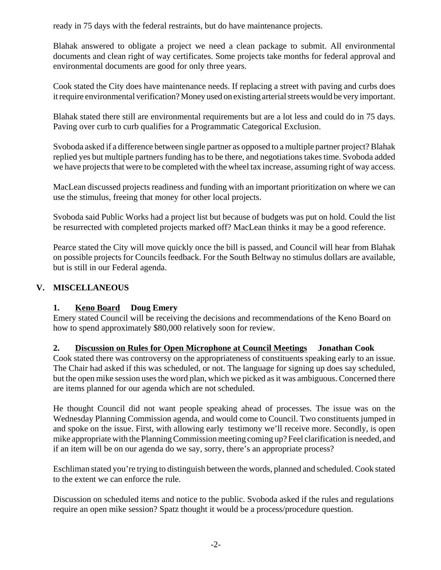ready in 75 days with the federal restraints, but do have maintenance projects.

Blahak answered to obligate a project we need a clean package to submit. All environmental documents and clean right of way certificates. Some projects take months for federal approval and environmental documents are good for only three years.

Cook stated the City does have maintenance needs. If replacing a street with paving and curbs does it require environmental verification? Money used on existing arterial streets would be very important.

Blahak stated there still are environmental requirements but are a lot less and could do in 75 days. Paving over curb to curb qualifies for a Programmatic Categorical Exclusion.

Svoboda asked if a difference between single partner as opposed to a multiple partner project? Blahak replied yes but multiple partners funding has to be there, and negotiations takes time. Svoboda added we have projects that were to be completed with the wheel tax increase, assuming right of way access.

MacLean discussed projects readiness and funding with an important prioritization on where we can use the stimulus, freeing that money for other local projects.

Svoboda said Public Works had a project list but because of budgets was put on hold. Could the list be resurrected with completed projects marked off? MacLean thinks it may be a good reference.

Pearce stated the City will move quickly once the bill is passed, and Council will hear from Blahak on possible projects for Councils feedback. For the South Beltway no stimulus dollars are available, but is still in our Federal agenda.

# **V. MISCELLANEOUS**

# **1. Keno Board Doug Emery**

Emery stated Council will be receiving the decisions and recommendations of the Keno Board on how to spend approximately \$80,000 relatively soon for review.

# **2. Discussion on Rules for Open Microphone at Council Meetings Jonathan Cook**

Cook stated there was controversy on the appropriateness of constituents speaking early to an issue. The Chair had asked if this was scheduled, or not. The language for signing up does say scheduled, but the open mike session uses the word plan, which we picked as it was ambiguous. Concerned there are items planned for our agenda which are not scheduled.

He thought Council did not want people speaking ahead of processes. The issue was on the Wednesday Planning Commission agenda, and would come to Council. Two constituents jumped in and spoke on the issue. First, with allowing early testimony we'll receive more. Secondly, is open mike appropriate with the Planning Commission meeting coming up? Feel clarification is needed, and if an item will be on our agenda do we say, sorry, there's an appropriate process?

Eschliman stated you're trying to distinguish between the words, planned and scheduled. Cook stated to the extent we can enforce the rule.

Discussion on scheduled items and notice to the public. Svoboda asked if the rules and regulations require an open mike session? Spatz thought it would be a process/procedure question.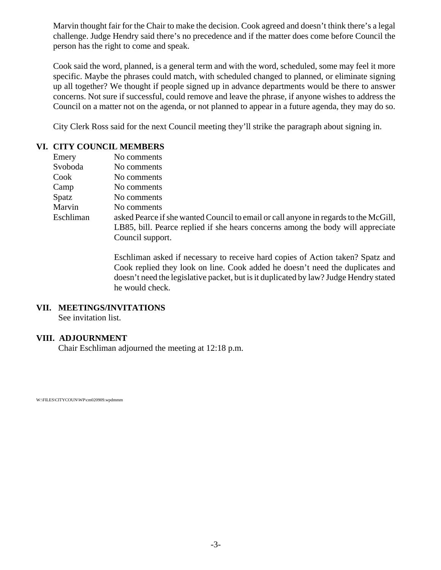Marvin thought fair for the Chair to make the decision. Cook agreed and doesn't think there's a legal challenge. Judge Hendry said there's no precedence and if the matter does come before Council the person has the right to come and speak.

Cook said the word, planned, is a general term and with the word, scheduled, some may feel it more specific. Maybe the phrases could match, with scheduled changed to planned, or eliminate signing up all together? We thought if people signed up in advance departments would be there to answer concerns. Not sure if successful, could remove and leave the phrase, if anyone wishes to address the Council on a matter not on the agenda, or not planned to appear in a future agenda, they may do so.

City Clerk Ross said for the next Council meeting they'll strike the paragraph about signing in.

### **VI. CITY COUNCIL MEMBERS**

| Emery     | No comments                                                                          |
|-----------|--------------------------------------------------------------------------------------|
| Svoboda   | No comments                                                                          |
| Cook      | No comments                                                                          |
| Camp      | No comments                                                                          |
| Spatz     | No comments                                                                          |
| Marvin    | No comments                                                                          |
| Eschliman | asked Pearce if she wanted Council to email or call anyone in regards to the McGill, |
|           | LB85, bill. Pearce replied if she hears concerns among the body will appreciate      |
|           | Council support.                                                                     |

Eschliman asked if necessary to receive hard copies of Action taken? Spatz and Cook replied they look on line. Cook added he doesn't need the duplicates and doesn't need the legislative packet, but is it duplicated by law? Judge Hendry stated he would check.

#### **VII. MEETINGS/INVITATIONS**

See invitation list.

# **VIII. ADJOURNMENT**

Chair Eschliman adjourned the meeting at 12:18 p.m.

W:\FILES\CITYCOUN\WP\cm020909.wpdmmm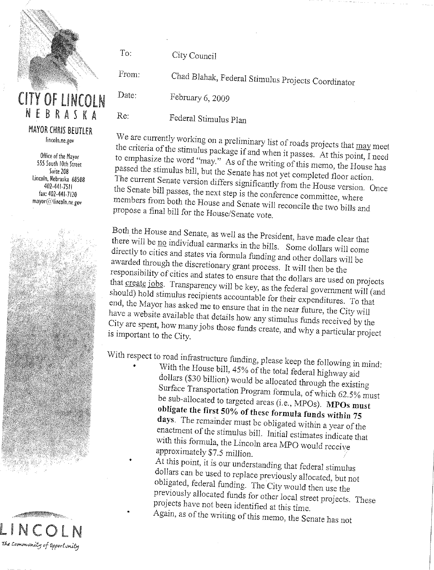

# **CITY OF LINCOLN** NEBRASKA

**MAYOR CHRIS BEUTLER** lincoln.ne.gov

Office of the Mayor 555 South 10th Street Suite 208 Lincoln, Nebraska 68508 402-441-7511 fax: 402-441-7120 mayor@lincoln.ne.gov



City Council

To:

Date:

Re:

From: Chad Blahak, Federal Stimulus Projects Coordinator

February 6, 2009

Federal Stimulus Plan

We are currently working on a preliminary list of roads projects that may meet the criteria of the stimulus package if and when it passes. At this point, I need to emphasize the word "may." As of the writing of this memo, the House has passed the stimulus bill, but the Senate has not yet completed floor action. The current Senate version differs significantly from the House version. Once the Senate bill passes, the next step is the conference committee, where members from both the House and Senate will reconcile the two bills and propose a final bill for the House/Senate vote.

Both the House and Senate, as well as the President, have made clear that there will be no individual earmarks in the bills. Some dollars will come directly to cities and states via formula funding and other dollars will be awarded through the discretionary grant process. It will then be the responsibility of cities and states to ensure that the dollars are used on projects that create jobs. Transparency will be key, as the federal government will (and should) hold stimulus recipients accountable for their expenditures. To that end, the Mayor has asked me to ensure that in the near future, the City will have a website available that details how any stimulus funds received by the City are spent, how many jobs those funds create, and why a particular project is important to the City.

With respect to road infrastructure funding, please keep the following in mind: With the House bill, 45% of the total federal highway aid dollars (\$30 billion) would be allocated through the existing Surface Transportation Program formula, of which 62.5% must be sub-allocated to targeted areas (i.e., MPOs). MPOs must obligate the first 50% of these formula funds within 75 days. The remainder must be obligated within a year of the enactment of the stimulus bill. Initial estimates indicate that with this formula, the Lincoln area MPO would receive approximately \$7.5 million.

At this point, it is our understanding that federal stimulus dollars can be used to replace previously allocated, but not obligated, federal funding. The City would then use the previously allocated funds for other local street projects. These projects have not been identified at this time. Again, as of the writing of this memo, the Senate has not